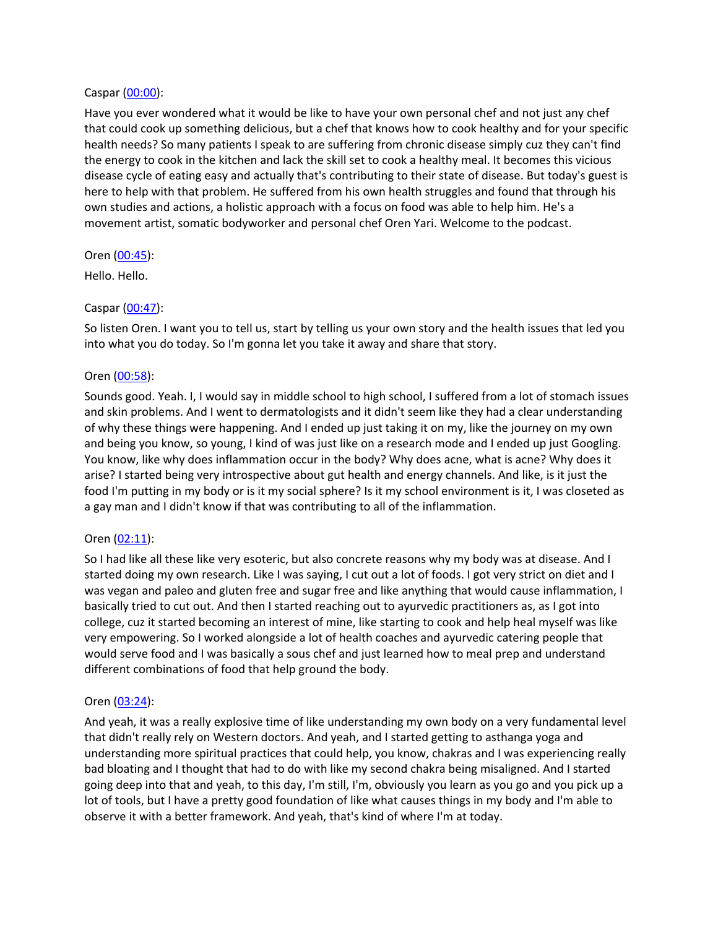### Caspar [\(00:00](https://www.temi.com/editor/t/3U_GbplzgMS-z_nEzTNlrnej-FfQlo8h5VQ_s60YzWp8wYYVMVRkg3Bqta4O-DunE0LbxEBRDdwIVUJjHxbl4W7x63w?loadFrom=DocumentDeeplink&ts=0.35)):

Have you ever wondered what it would be like to have your own personal chef and not just any chef that could cook up something delicious, but a chef that knows how to cook healthy and for your specific health needs? So many patients I speak to are suffering from chronic disease simply cuz they can't find the energy to cook in the kitchen and lack the skill set to cook a healthy meal. It becomes this vicious disease cycle of eating easy and actually that's contributing to their state of disease. But today's guest is here to help with that problem. He suffered from his own health struggles and found that through his own studies and actions, a holistic approach with a focus on food was able to help him. He's a movement artist, somatic bodyworker and personal chef Oren Yari. Welcome to the podcast.

### Oren [\(00:45](https://www.temi.com/editor/t/3U_GbplzgMS-z_nEzTNlrnej-FfQlo8h5VQ_s60YzWp8wYYVMVRkg3Bqta4O-DunE0LbxEBRDdwIVUJjHxbl4W7x63w?loadFrom=DocumentDeeplink&ts=45.57)):

Hello. Hello.

# Caspar [\(00:47](https://www.temi.com/editor/t/3U_GbplzgMS-z_nEzTNlrnej-FfQlo8h5VQ_s60YzWp8wYYVMVRkg3Bqta4O-DunE0LbxEBRDdwIVUJjHxbl4W7x63w?loadFrom=DocumentDeeplink&ts=47.34)):

So listen Oren. I want you to tell us, start by telling us your own story and the health issues that led you into what you do today. So I'm gonna let you take it away and share that story.

# Oren [\(00:58](https://www.temi.com/editor/t/3U_GbplzgMS-z_nEzTNlrnej-FfQlo8h5VQ_s60YzWp8wYYVMVRkg3Bqta4O-DunE0LbxEBRDdwIVUJjHxbl4W7x63w?loadFrom=DocumentDeeplink&ts=58.22)):

Sounds good. Yeah. I, I would say in middle school to high school, I suffered from a lot of stomach issues and skin problems. And I went to dermatologists and it didn't seem like they had a clear understanding of why these things were happening. And I ended up just taking it on my, like the journey on my own and being you know, so young, I kind of was just like on a research mode and I ended up just Googling. You know, like why does inflammation occur in the body? Why does acne, what is acne? Why does it arise? I started being very introspective about gut health and energy channels. And like, is it just the food I'm putting in my body or is it my social sphere? Is it my school environment is it, I was closeted as a gay man and I didn't know if that was contributing to all of the inflammation.

# Oren [\(02:11](https://www.temi.com/editor/t/3U_GbplzgMS-z_nEzTNlrnej-FfQlo8h5VQ_s60YzWp8wYYVMVRkg3Bqta4O-DunE0LbxEBRDdwIVUJjHxbl4W7x63w?loadFrom=DocumentDeeplink&ts=131.93)):

So I had like all these like very esoteric, but also concrete reasons why my body was at disease. And I started doing my own research. Like I was saying, I cut out a lot of foods. I got very strict on diet and I was vegan and paleo and gluten free and sugar free and like anything that would cause inflammation, I basically tried to cut out. And then I started reaching out to ayurvedic practitioners as, as I got into college, cuz it started becoming an interest of mine, like starting to cook and help heal myself was like very empowering. So I worked alongside a lot of health coaches and ayurvedic catering people that would serve food and I was basically a sous chef and just learned how to meal prep and understand different combinations of food that help ground the body.

#### Oren [\(03:24](https://www.temi.com/editor/t/3U_GbplzgMS-z_nEzTNlrnej-FfQlo8h5VQ_s60YzWp8wYYVMVRkg3Bqta4O-DunE0LbxEBRDdwIVUJjHxbl4W7x63w?loadFrom=DocumentDeeplink&ts=204.61)):

And yeah, it was a really explosive time of like understanding my own body on a very fundamental level that didn't really rely on Western doctors. And yeah, and I started getting to asthanga yoga and understanding more spiritual practices that could help, you know, chakras and I was experiencing really bad bloating and I thought that had to do with like my second chakra being misaligned. And I started going deep into that and yeah, to this day, I'm still, I'm, obviously you learn as you go and you pick up a lot of tools, but I have a pretty good foundation of like what causes things in my body and I'm able to observe it with a better framework. And yeah, that's kind of where I'm at today.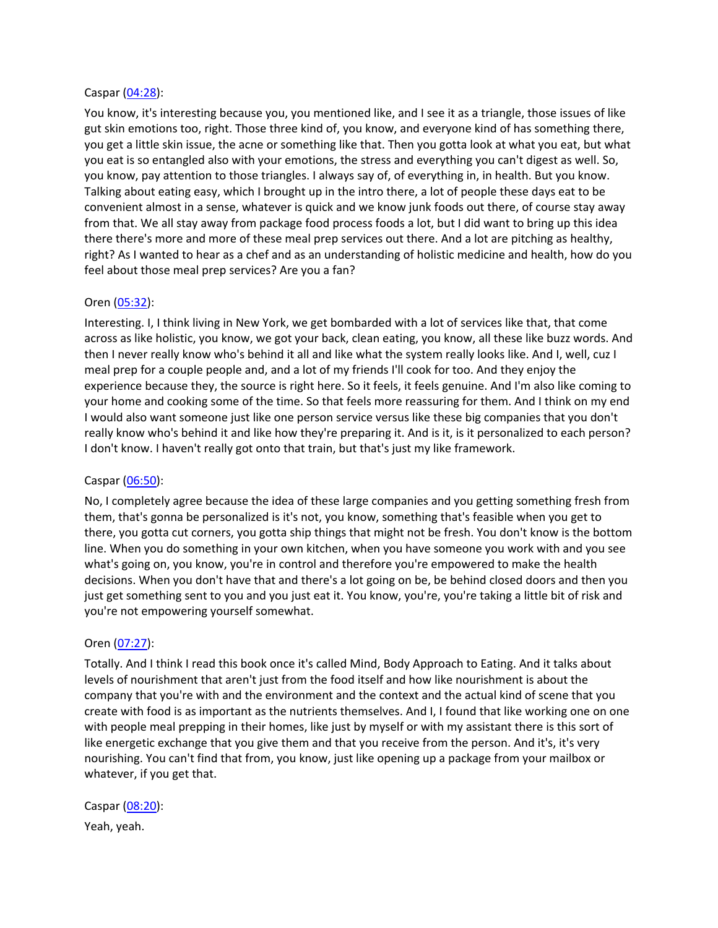### Caspar [\(04:28](https://www.temi.com/editor/t/3U_GbplzgMS-z_nEzTNlrnej-FfQlo8h5VQ_s60YzWp8wYYVMVRkg3Bqta4O-DunE0LbxEBRDdwIVUJjHxbl4W7x63w?loadFrom=DocumentDeeplink&ts=268.339)):

You know, it's interesting because you, you mentioned like, and I see it as a triangle, those issues of like gut skin emotions too, right. Those three kind of, you know, and everyone kind of has something there, you get a little skin issue, the acne or something like that. Then you gotta look at what you eat, but what you eat is so entangled also with your emotions, the stress and everything you can't digest as well. So, you know, pay attention to those triangles. I always say of, of everything in, in health. But you know. Talking about eating easy, which I brought up in the intro there, a lot of people these days eat to be convenient almost in a sense, whatever is quick and we know junk foods out there, of course stay away from that. We all stay away from package food process foods a lot, but I did want to bring up this idea there there's more and more of these meal prep services out there. And a lot are pitching as healthy, right? As I wanted to hear as a chef and as an understanding of holistic medicine and health, how do you feel about those meal prep services? Are you a fan?

# Oren [\(05:32](https://www.temi.com/editor/t/3U_GbplzgMS-z_nEzTNlrnej-FfQlo8h5VQ_s60YzWp8wYYVMVRkg3Bqta4O-DunE0LbxEBRDdwIVUJjHxbl4W7x63w?loadFrom=DocumentDeeplink&ts=332.21)):

Interesting. I, I think living in New York, we get bombarded with a lot of services like that, that come across as like holistic, you know, we got your back, clean eating, you know, all these like buzz words. And then I never really know who's behind it all and like what the system really looks like. And I, well, cuz I meal prep for a couple people and, and a lot of my friends I'll cook for too. And they enjoy the experience because they, the source is right here. So it feels, it feels genuine. And I'm also like coming to your home and cooking some of the time. So that feels more reassuring for them. And I think on my end I would also want someone just like one person service versus like these big companies that you don't really know who's behind it and like how they're preparing it. And is it, is it personalized to each person? I don't know. I haven't really got onto that train, but that's just my like framework.

#### Caspar [\(06:50](https://www.temi.com/editor/t/3U_GbplzgMS-z_nEzTNlrnej-FfQlo8h5VQ_s60YzWp8wYYVMVRkg3Bqta4O-DunE0LbxEBRDdwIVUJjHxbl4W7x63w?loadFrom=DocumentDeeplink&ts=410.18)):

No, I completely agree because the idea of these large companies and you getting something fresh from them, that's gonna be personalized is it's not, you know, something that's feasible when you get to there, you gotta cut corners, you gotta ship things that might not be fresh. You don't know is the bottom line. When you do something in your own kitchen, when you have someone you work with and you see what's going on, you know, you're in control and therefore you're empowered to make the health decisions. When you don't have that and there's a lot going on be, be behind closed doors and then you just get something sent to you and you just eat it. You know, you're, you're taking a little bit of risk and you're not empowering yourself somewhat.

#### Oren [\(07:27](https://www.temi.com/editor/t/3U_GbplzgMS-z_nEzTNlrnej-FfQlo8h5VQ_s60YzWp8wYYVMVRkg3Bqta4O-DunE0LbxEBRDdwIVUJjHxbl4W7x63w?loadFrom=DocumentDeeplink&ts=447.19)):

Totally. And I think I read this book once it's called Mind, Body Approach to Eating. And it talks about levels of nourishment that aren't just from the food itself and how like nourishment is about the company that you're with and the environment and the context and the actual kind of scene that you create with food is as important as the nutrients themselves. And I, I found that like working one on one with people meal prepping in their homes, like just by myself or with my assistant there is this sort of like energetic exchange that you give them and that you receive from the person. And it's, it's very nourishing. You can't find that from, you know, just like opening up a package from your mailbox or whatever, if you get that.

Caspar [\(08:20](https://www.temi.com/editor/t/3U_GbplzgMS-z_nEzTNlrnej-FfQlo8h5VQ_s60YzWp8wYYVMVRkg3Bqta4O-DunE0LbxEBRDdwIVUJjHxbl4W7x63w?loadFrom=DocumentDeeplink&ts=500.8)): Yeah, yeah.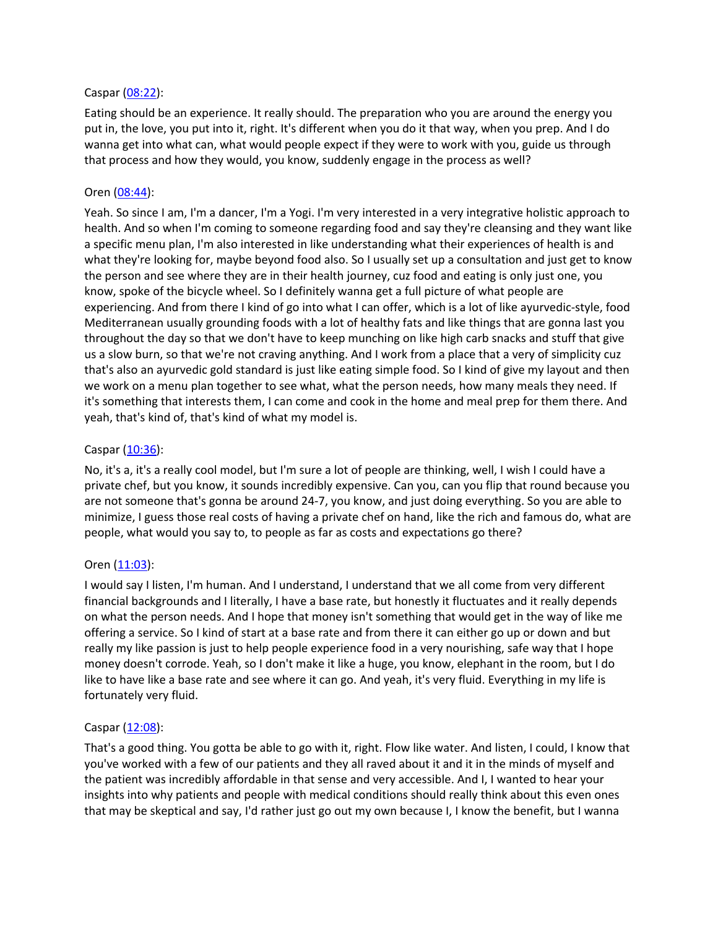### Caspar [\(08:22](https://www.temi.com/editor/t/3U_GbplzgMS-z_nEzTNlrnej-FfQlo8h5VQ_s60YzWp8wYYVMVRkg3Bqta4O-DunE0LbxEBRDdwIVUJjHxbl4W7x63w?loadFrom=DocumentDeeplink&ts=502.44)):

Eating should be an experience. It really should. The preparation who you are around the energy you put in, the love, you put into it, right. It's different when you do it that way, when you prep. And I do wanna get into what can, what would people expect if they were to work with you, guide us through that process and how they would, you know, suddenly engage in the process as well?

### Oren [\(08:44](https://www.temi.com/editor/t/3U_GbplzgMS-z_nEzTNlrnej-FfQlo8h5VQ_s60YzWp8wYYVMVRkg3Bqta4O-DunE0LbxEBRDdwIVUJjHxbl4W7x63w?loadFrom=DocumentDeeplink&ts=524.73)):

Yeah. So since I am, I'm a dancer, I'm a Yogi. I'm very interested in a very integrative holistic approach to health. And so when I'm coming to someone regarding food and say they're cleansing and they want like a specific menu plan, I'm also interested in like understanding what their experiences of health is and what they're looking for, maybe beyond food also. So I usually set up a consultation and just get to know the person and see where they are in their health journey, cuz food and eating is only just one, you know, spoke of the bicycle wheel. So I definitely wanna get a full picture of what people are experiencing. And from there I kind of go into what I can offer, which is a lot of like ayurvedic-style, food Mediterranean usually grounding foods with a lot of healthy fats and like things that are gonna last you throughout the day so that we don't have to keep munching on like high carb snacks and stuff that give us a slow burn, so that we're not craving anything. And I work from a place that a very of simplicity cuz that's also an ayurvedic gold standard is just like eating simple food. So I kind of give my layout and then we work on a menu plan together to see what, what the person needs, how many meals they need. If it's something that interests them, I can come and cook in the home and meal prep for them there. And yeah, that's kind of, that's kind of what my model is.

### Caspar [\(10:36](https://www.temi.com/editor/t/3U_GbplzgMS-z_nEzTNlrnej-FfQlo8h5VQ_s60YzWp8wYYVMVRkg3Bqta4O-DunE0LbxEBRDdwIVUJjHxbl4W7x63w?loadFrom=DocumentDeeplink&ts=636.63)):

No, it's a, it's a really cool model, but I'm sure a lot of people are thinking, well, I wish I could have a private chef, but you know, it sounds incredibly expensive. Can you, can you flip that round because you are not someone that's gonna be around 24-7, you know, and just doing everything. So you are able to minimize, I guess those real costs of having a private chef on hand, like the rich and famous do, what are people, what would you say to, to people as far as costs and expectations go there?

# Oren [\(11:03](https://www.temi.com/editor/t/3U_GbplzgMS-z_nEzTNlrnej-FfQlo8h5VQ_s60YzWp8wYYVMVRkg3Bqta4O-DunE0LbxEBRDdwIVUJjHxbl4W7x63w?loadFrom=DocumentDeeplink&ts=663.64)):

I would say I listen, I'm human. And I understand, I understand that we all come from very different financial backgrounds and I literally, I have a base rate, but honestly it fluctuates and it really depends on what the person needs. And I hope that money isn't something that would get in the way of like me offering a service. So I kind of start at a base rate and from there it can either go up or down and but really my like passion is just to help people experience food in a very nourishing, safe way that I hope money doesn't corrode. Yeah, so I don't make it like a huge, you know, elephant in the room, but I do like to have like a base rate and see where it can go. And yeah, it's very fluid. Everything in my life is fortunately very fluid.

# Caspar [\(12:08](https://www.temi.com/editor/t/3U_GbplzgMS-z_nEzTNlrnej-FfQlo8h5VQ_s60YzWp8wYYVMVRkg3Bqta4O-DunE0LbxEBRDdwIVUJjHxbl4W7x63w?loadFrom=DocumentDeeplink&ts=728.79)):

That's a good thing. You gotta be able to go with it, right. Flow like water. And listen, I could, I know that you've worked with a few of our patients and they all raved about it and it in the minds of myself and the patient was incredibly affordable in that sense and very accessible. And I, I wanted to hear your insights into why patients and people with medical conditions should really think about this even ones that may be skeptical and say, I'd rather just go out my own because I, I know the benefit, but I wanna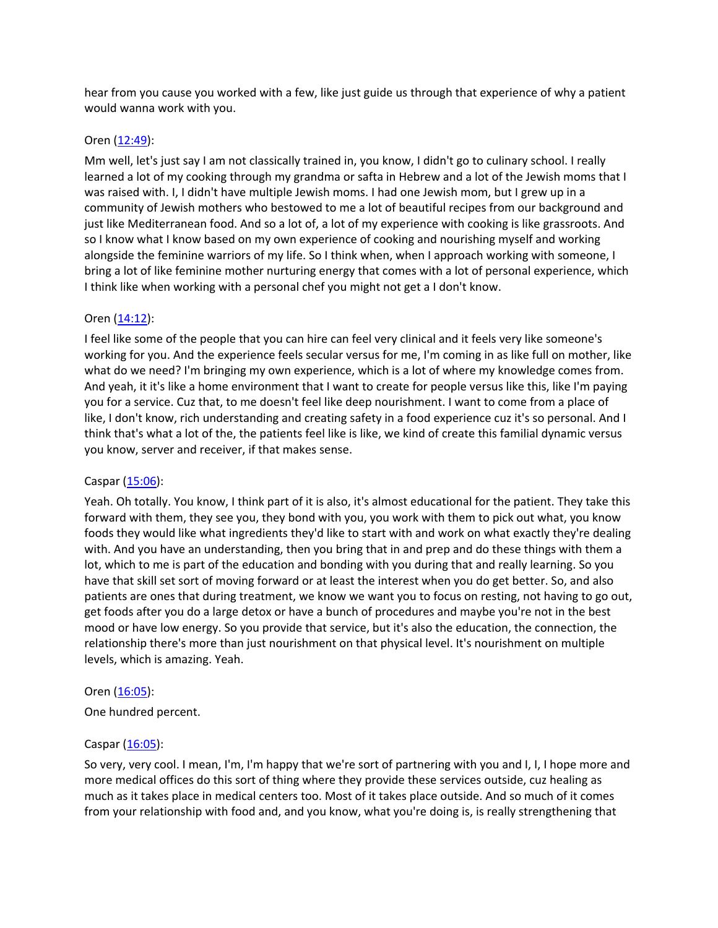hear from you cause you worked with a few, like just guide us through that experience of why a patient would wanna work with you.

### Oren [\(12:49](https://www.temi.com/editor/t/3U_GbplzgMS-z_nEzTNlrnej-FfQlo8h5VQ_s60YzWp8wYYVMVRkg3Bqta4O-DunE0LbxEBRDdwIVUJjHxbl4W7x63w?loadFrom=DocumentDeeplink&ts=769.46)):

Mm well, let's just say I am not classically trained in, you know, I didn't go to culinary school. I really learned a lot of my cooking through my grandma or safta in Hebrew and a lot of the Jewish moms that I was raised with. I, I didn't have multiple Jewish moms. I had one Jewish mom, but I grew up in a community of Jewish mothers who bestowed to me a lot of beautiful recipes from our background and just like Mediterranean food. And so a lot of, a lot of my experience with cooking is like grassroots. And so I know what I know based on my own experience of cooking and nourishing myself and working alongside the feminine warriors of my life. So I think when, when I approach working with someone, I bring a lot of like feminine mother nurturing energy that comes with a lot of personal experience, which I think like when working with a personal chef you might not get a I don't know.

# Oren [\(14:12](https://www.temi.com/editor/t/3U_GbplzgMS-z_nEzTNlrnej-FfQlo8h5VQ_s60YzWp8wYYVMVRkg3Bqta4O-DunE0LbxEBRDdwIVUJjHxbl4W7x63w?loadFrom=DocumentDeeplink&ts=852.51)):

I feel like some of the people that you can hire can feel very clinical and it feels very like someone's working for you. And the experience feels secular versus for me, I'm coming in as like full on mother, like what do we need? I'm bringing my own experience, which is a lot of where my knowledge comes from. And yeah, it it's like a home environment that I want to create for people versus like this, like I'm paying you for a service. Cuz that, to me doesn't feel like deep nourishment. I want to come from a place of like, I don't know, rich understanding and creating safety in a food experience cuz it's so personal. And I think that's what a lot of the, the patients feel like is like, we kind of create this familial dynamic versus you know, server and receiver, if that makes sense.

#### Caspar [\(15:06](https://www.temi.com/editor/t/3U_GbplzgMS-z_nEzTNlrnej-FfQlo8h5VQ_s60YzWp8wYYVMVRkg3Bqta4O-DunE0LbxEBRDdwIVUJjHxbl4W7x63w?loadFrom=DocumentDeeplink&ts=906.44)):

Yeah. Oh totally. You know, I think part of it is also, it's almost educational for the patient. They take this forward with them, they see you, they bond with you, you work with them to pick out what, you know foods they would like what ingredients they'd like to start with and work on what exactly they're dealing with. And you have an understanding, then you bring that in and prep and do these things with them a lot, which to me is part of the education and bonding with you during that and really learning. So you have that skill set sort of moving forward or at least the interest when you do get better. So, and also patients are ones that during treatment, we know we want you to focus on resting, not having to go out, get foods after you do a large detox or have a bunch of procedures and maybe you're not in the best mood or have low energy. So you provide that service, but it's also the education, the connection, the relationship there's more than just nourishment on that physical level. It's nourishment on multiple levels, which is amazing. Yeah.

#### Oren [\(16:05](https://www.temi.com/editor/t/3U_GbplzgMS-z_nEzTNlrnej-FfQlo8h5VQ_s60YzWp8wYYVMVRkg3Bqta4O-DunE0LbxEBRDdwIVUJjHxbl4W7x63w?loadFrom=DocumentDeeplink&ts=965.17)):

One hundred percent.

# Caspar [\(16:05](https://www.temi.com/editor/t/3U_GbplzgMS-z_nEzTNlrnej-FfQlo8h5VQ_s60YzWp8wYYVMVRkg3Bqta4O-DunE0LbxEBRDdwIVUJjHxbl4W7x63w?loadFrom=DocumentDeeplink&ts=965.85)):

So very, very cool. I mean, I'm, I'm happy that we're sort of partnering with you and I, I, I hope more and more medical offices do this sort of thing where they provide these services outside, cuz healing as much as it takes place in medical centers too. Most of it takes place outside. And so much of it comes from your relationship with food and, and you know, what you're doing is, is really strengthening that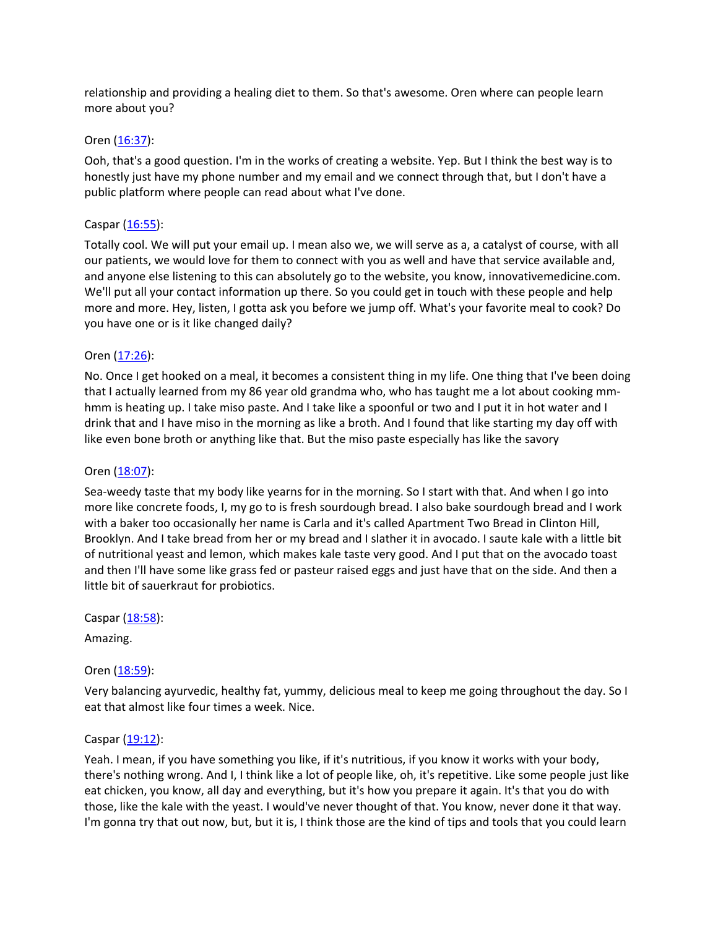relationship and providing a healing diet to them. So that's awesome. Oren where can people learn more about you?

### Oren [\(16:37](https://www.temi.com/editor/t/3U_GbplzgMS-z_nEzTNlrnej-FfQlo8h5VQ_s60YzWp8wYYVMVRkg3Bqta4O-DunE0LbxEBRDdwIVUJjHxbl4W7x63w?loadFrom=DocumentDeeplink&ts=997.95)):

Ooh, that's a good question. I'm in the works of creating a website. Yep. But I think the best way is to honestly just have my phone number and my email and we connect through that, but I don't have a public platform where people can read about what I've done.

# Caspar  $(16:55)$  $(16:55)$ :

Totally cool. We will put your email up. I mean also we, we will serve as a, a catalyst of course, with all our patients, we would love for them to connect with you as well and have that service available and, and anyone else listening to this can absolutely go to the website, you know, innovativemedicine.com. We'll put all your contact information up there. So you could get in touch with these people and help more and more. Hey, listen, I gotta ask you before we jump off. What's your favorite meal to cook? Do you have one or is it like changed daily?

# Oren [\(17:26](https://www.temi.com/editor/t/3U_GbplzgMS-z_nEzTNlrnej-FfQlo8h5VQ_s60YzWp8wYYVMVRkg3Bqta4O-DunE0LbxEBRDdwIVUJjHxbl4W7x63w?loadFrom=DocumentDeeplink&ts=1046.02)):

No. Once I get hooked on a meal, it becomes a consistent thing in my life. One thing that I've been doing that I actually learned from my 86 year old grandma who, who has taught me a lot about cooking mmhmm is heating up. I take miso paste. And I take like a spoonful or two and I put it in hot water and I drink that and I have miso in the morning as like a broth. And I found that like starting my day off with like even bone broth or anything like that. But the miso paste especially has like the savory

### Oren [\(18:07](https://www.temi.com/editor/t/3U_GbplzgMS-z_nEzTNlrnej-FfQlo8h5VQ_s60YzWp8wYYVMVRkg3Bqta4O-DunE0LbxEBRDdwIVUJjHxbl4W7x63w?loadFrom=DocumentDeeplink&ts=1087.369)):

Sea-weedy taste that my body like yearns for in the morning. So I start with that. And when I go into more like concrete foods, I, my go to is fresh sourdough bread. I also bake sourdough bread and I work with a baker too occasionally her name is Carla and it's called Apartment Two Bread in Clinton Hill, Brooklyn. And I take bread from her or my bread and I slather it in avocado. I saute kale with a little bit of nutritional yeast and lemon, which makes kale taste very good. And I put that on the avocado toast and then I'll have some like grass fed or pasteur raised eggs and just have that on the side. And then a little bit of sauerkraut for probiotics.

Caspar [\(18:58](https://www.temi.com/editor/t/3U_GbplzgMS-z_nEzTNlrnej-FfQlo8h5VQ_s60YzWp8wYYVMVRkg3Bqta4O-DunE0LbxEBRDdwIVUJjHxbl4W7x63w?loadFrom=DocumentDeeplink&ts=1138.47)):

Amazing.

# Oren [\(18:59](https://www.temi.com/editor/t/3U_GbplzgMS-z_nEzTNlrnej-FfQlo8h5VQ_s60YzWp8wYYVMVRkg3Bqta4O-DunE0LbxEBRDdwIVUJjHxbl4W7x63w?loadFrom=DocumentDeeplink&ts=1139.59)):

Very balancing ayurvedic, healthy fat, yummy, delicious meal to keep me going throughout the day. So I eat that almost like four times a week. Nice.

#### Caspar  $(19:12)$  $(19:12)$ :

Yeah. I mean, if you have something you like, if it's nutritious, if you know it works with your body, there's nothing wrong. And I, I think like a lot of people like, oh, it's repetitive. Like some people just like eat chicken, you know, all day and everything, but it's how you prepare it again. It's that you do with those, like the kale with the yeast. I would've never thought of that. You know, never done it that way. I'm gonna try that out now, but, but it is, I think those are the kind of tips and tools that you could learn